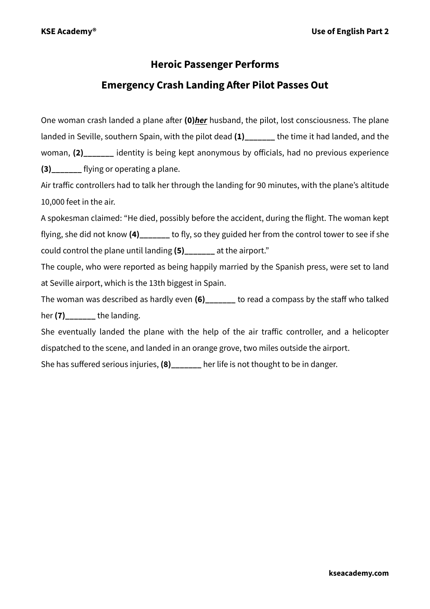## **Heroic Passenger Performs**

## **Emergency Crash Landing After Pilot Passes Out**

One woman crash landed a plane after **(0)***her* husband, the pilot, lost consciousness. The plane landed in Seville, southern Spain, with the pilot dead **(1)\_\_\_\_\_\_\_** the time it had landed, and the woman, **(2)\_\_\_\_\_\_\_** identity is being kept anonymous by officials, had no previous experience **(3)** flying or operating a plane.

Air traffic controllers had to talk her through the landing for 90 minutes, with the plane's altitude 10,000 feet in the air.

A spokesman claimed: "He died, possibly before the accident, during the flight. The woman kept flying, she did not know **(4)\_\_\_\_\_\_\_** to fly, so they guided her from the control tower to see if she could control the plane until landing **(5)\_\_\_\_\_\_\_** at the airport."

The couple, who were reported as being happily married by the Spanish press, were set to land at Seville airport, which is the 13th biggest in Spain.

The woman was described as hardly even **(6)\_\_\_\_\_\_\_** to read a compass by the staff who talked her **(7)** the landing.

She eventually landed the plane with the help of the air traffic controller, and a helicopter dispatched to the scene, and landed in an orange grove, two miles outside the airport.

She has suffered serious injuries, **(8)\_\_\_\_\_\_\_** her life is not thought to be in danger.